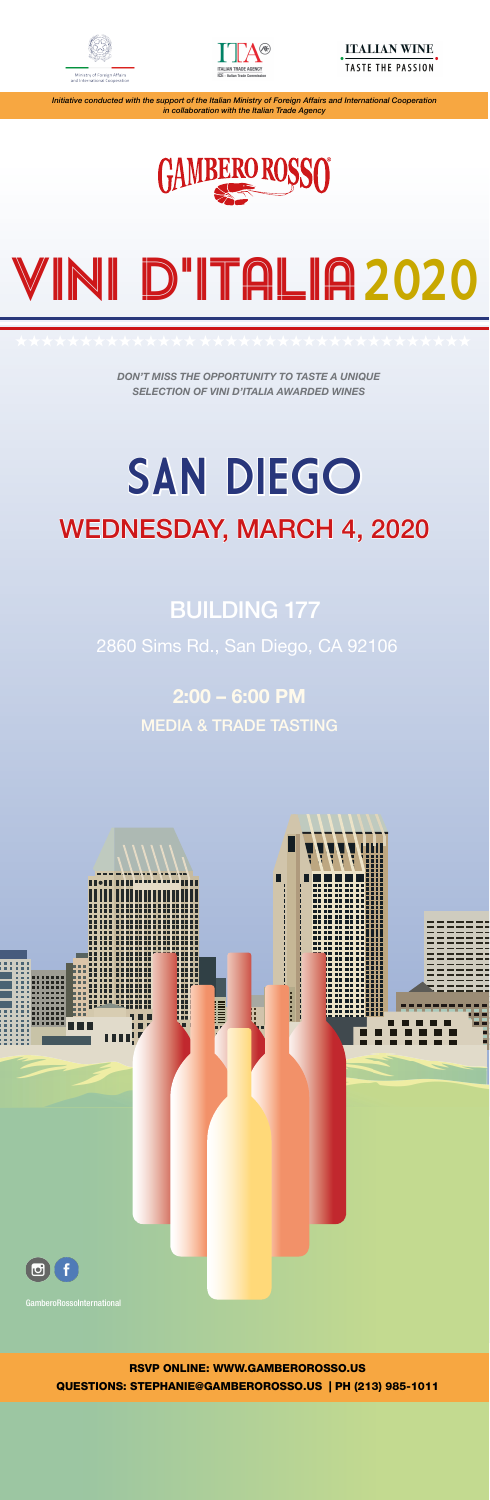# 2:00 – 6:00 PM MEDIA & TRADE TASTING



# WEDNESDAY, MARCH 4, 2020 SAN DIEGO



DON'T MISS THE OPPORTUNITY TO TASTE A UNIQUE SELECTION OF VINI D'ITALIA AWARDED WINES

# 2860 Sims Rd., San Diego, CA 92106

# BUILDING 177

# RSVP ONLINE: WWW.GAMBEROROSSO.US QUESTIONS: STEPHANIE@GAMBEROROSSO.US | PH (213) 985-1011







Initiative conducted with the support of the Italian Ministry of Foreign Affairs and International Cooperation in collaboration with the Italian Trade Agency



# VINI D'ITALIA2020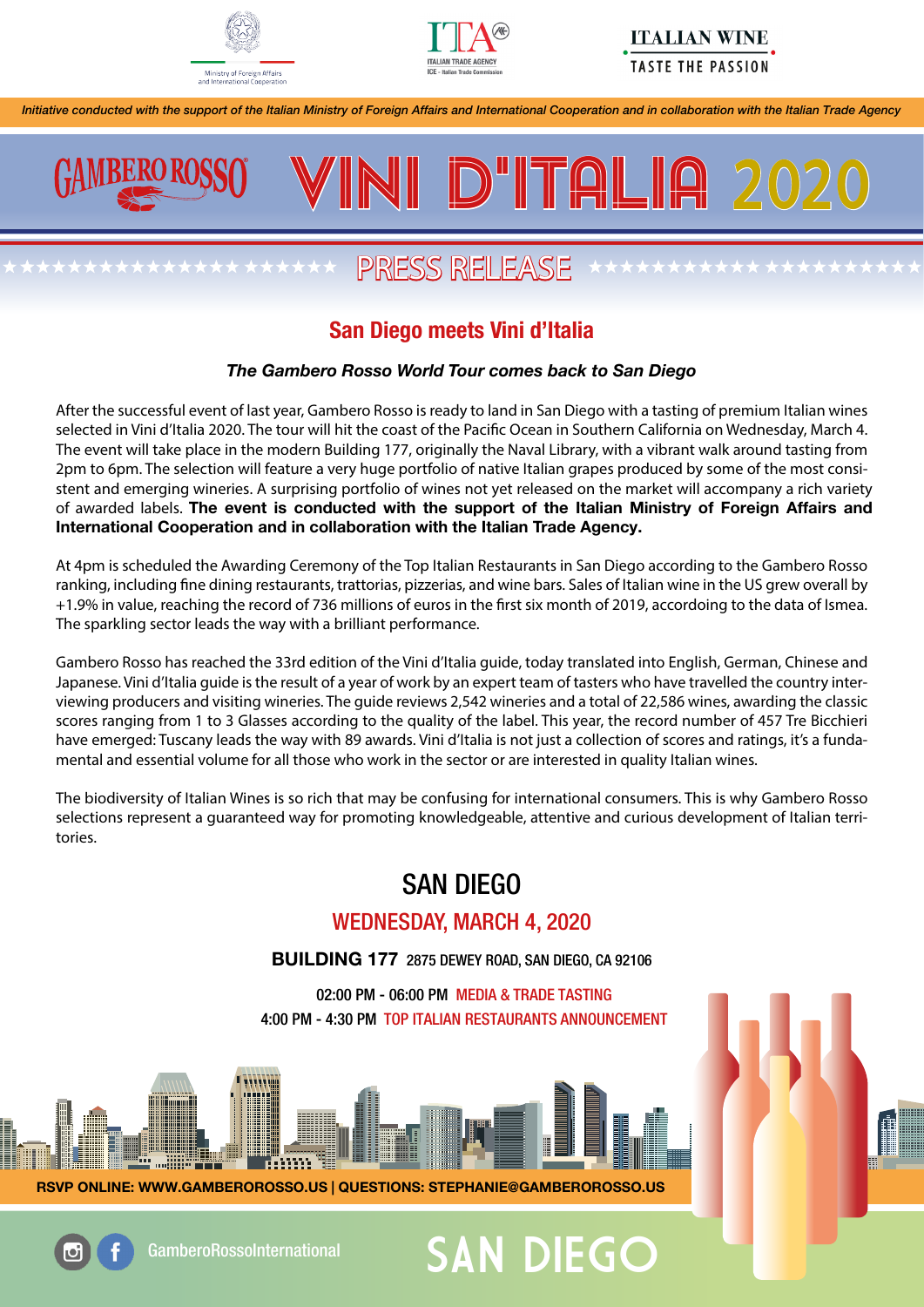



### **ITALIAN WINE TASTE THE PASSION**

Initiative conducted with the support of the Italian Ministry of Foreign Affairs and International Cooperation and in collaboration with the Italian Trade Agency



# PRESS RELEASE

INI D'ITALIA 20

# San Diego meets Vini d'Italia

#### The Gambero Rosso World Tour comes back to San Diego

After the successful event of last year, Gambero Rosso is ready to land in San Diego with a tasting of premium Italian wines selected in Vini d'Italia 2020. The tour will hit the coast of the Pacific Ocean in Southern California on Wednesday, March 4. The event will take place in the modern Building 177, originally the Naval Library, with a vibrant walk around tasting from 2pm to 6pm. The selection will feature a very huge portfolio of native Italian grapes produced by some of the most consistent and emerging wineries. A surprising portfolio of wines not yet released on the market will accompany a rich variety of awarded labels. The event is conducted with the support of the Italian Ministry of Foreign Affairs and International Cooperation and in collaboration with the Italian Trade Agency.

At 4pm is scheduled the Awarding Ceremony of the Top Italian Restaurants in San Diego according to the Gambero Rosso ranking, including fine dining restaurants, trattorias, pizzerias, and wine bars. Sales of Italian wine in the US grew overall by +1.9% in value, reaching the record of 736 millions of euros in the first six month of 2019, accordoing to the data of Ismea. The sparkling sector leads the way with a brilliant performance.

Gambero Rosso has reached the 33rd edition of the Vini d'Italia guide, today translated into English, German, Chinese and Japanese. Vini d'Italia guide is the result of a year of work by an expert team of tasters who have travelled the country interviewing producers and visiting wineries. The guide reviews 2,542 wineries and a total of 22,586 wines, awarding the classic scores ranging from 1 to 3 Glasses according to the quality of the label. This year, the record number of 457 Tre Bicchieri have emerged: Tuscany leads the way with 89 awards. Vini d'Italia is not just a collection of scores and ratings, it's a fundamental and essential volume for all those who work in the sector or are interested in quality Italian wines.

The biodiversity of Italian Wines is so rich that may be confusing for international consumers. This is why Gambero Rosso selections represent a guaranteed way for promoting knowledgeable, attentive and curious development of Italian territories.

# SAN DIEGO

## WEDNESDAY, MARCH 4, 2020

BUILDING 177 2875 DEWEY ROAD, SAN DIEGO, CA 92106

02:00 PM - 06:00 PM MEDIA & TRADE TASTING 4:00 PM - 4:30 PM TOP ITALIAN RESTAURANTS ANNOUNCEMENT



RSVP ONLINE: WWW.GAMBEROROSSO.US | QUESTIONS: STEPHANIE@GAMBEROROSSO.US



GamberoRossoInternational  $\mathsf{SAN}\ \mathsf{DIEGO}$